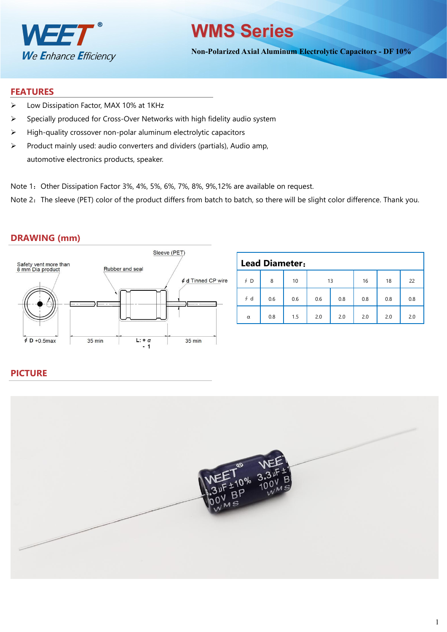

# **WMS Series**

**Non-Polarized Axial Aluminum Electrolytic Capacitors - DF 10%**

#### **FEATURES**

- Low Dissipation Factor, MAX 10% at 1KHz
- $\triangleright$  Specially produced for Cross-Over Networks with high fidelity audio system
- $\triangleright$  High-quality crossover non-polar aluminum electrolytic capacitors
- $\triangleright$  Product mainly used: audio converters and dividers (partials), Audio amp, automotive electronics products, speaker.
- Note 1: Other Dissipation Factor 3%, 4%, 5%, 6%, 7%, 8%, 9%, 12% are available on request.

Note 2: The sleeve (PET) color of the product differs from batch to batch, so there will be slight color difference. Thank you.

#### **DRAWING (mm)**



|           | <b>Lead Diameter:</b> |     |     |     |     |     |     |
|-----------|-----------------------|-----|-----|-----|-----|-----|-----|
| $\oint$ D | 8                     | 10  | 13  |     | 16  | 18  | 22  |
| $\oint d$ | 0.6                   | 0.6 | 0.6 | 0.8 | 0.8 | 0.8 | 0.8 |
| $\alpha$  | 0.8                   | 1.5 | 2.0 | 2.0 | 2.0 | 2.0 | 2.0 |

#### **PICTURE**